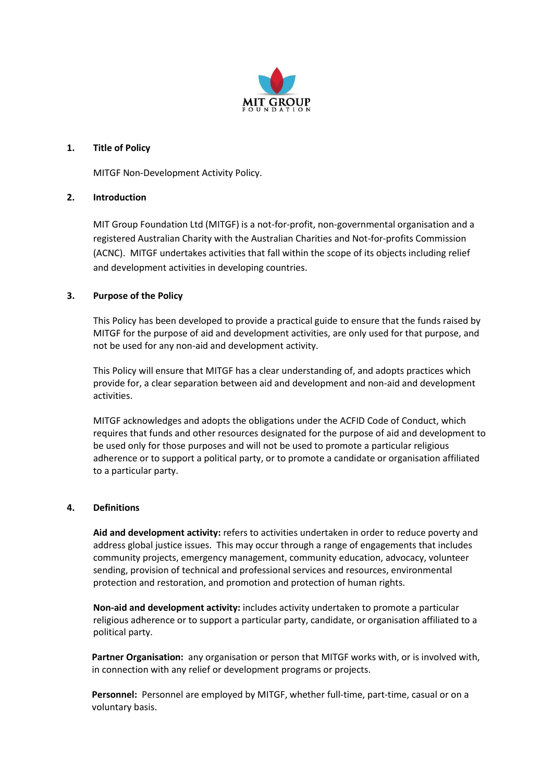

## **1. Title of Policy**

MITGF Non-Development Activity Policy.

## **2. Introduction**

MIT Group Foundation Ltd (MITGF) is a not-for-profit, non-governmental organisation and a registered Australian Charity with the Australian Charities and Not-for-profits Commission (ACNC). MITGF undertakes activities that fall within the scope of its objects including relief and development activities in developing countries.

## **3. Purpose of the Policy**

This Policy has been developed to provide a practical guide to ensure that the funds raised by MITGF for the purpose of aid and development activities, are only used for that purpose, and not be used for any non-aid and development activity.

This Policy will ensure that MITGF has a clear understanding of, and adopts practices which provide for, a clear separation between aid and development and non-aid and development activities.

MITGF acknowledges and adopts the obligations under the ACFID Code of Conduct, which requires that funds and other resources designated for the purpose of aid and development to be used only for those purposes and will not be used to promote a particular religious adherence or to support a political party, or to promote a candidate or organisation affiliated to a particular party.

### **4. Definitions**

**Aid and development activity:** refers to activities undertaken in order to reduce poverty and address global justice issues. This may occur through a range of engagements that includes community projects, emergency management, community education, advocacy, volunteer sending, provision of technical and professional services and resources, environmental protection and restoration, and promotion and protection of human rights.

**Non-aid and development activity:** includes activity undertaken to promote a particular religious adherence or to support a particular party, candidate, or organisation affiliated to a political party.

**Partner Organisation:** any organisation or person that MITGF works with, or is involved with, in connection with any relief or development programs or projects.

**Personnel:** Personnel are employed by MITGF, whether full-time, part-time, casual or on a voluntary basis.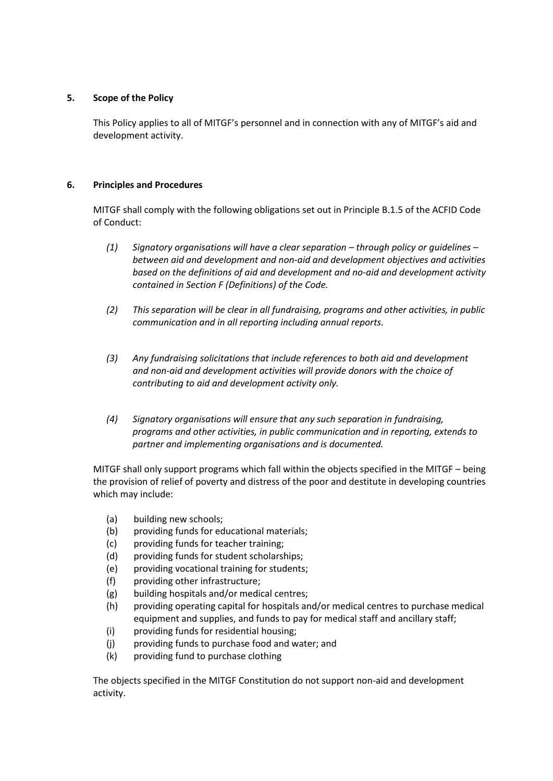# **5. Scope of the Policy**

This Policy applies to all of MITGF's personnel and in connection with any of MITGF's aid and development activity.

## **6. Principles and Procedures**

MITGF shall comply with the following obligations set out in Principle B.1.5 of the ACFID Code of Conduct:

- *(1) Signatory organisations will have a clear separation – through policy or guidelines – between aid and development and non-aid and development objectives and activities based on the definitions of aid and development and no-aid and development activity contained in Section F (Definitions) of the Code.*
- *(2) This separation will be clear in all fundraising, programs and other activities, in public communication and in all reporting including annual reports.*
- *(3) Any fundraising solicitations that include references to both aid and development and non-aid and development activities will provide donors with the choice of contributing to aid and development activity only.*
- *(4) Signatory organisations will ensure that any such separation in fundraising, programs and other activities, in public communication and in reporting, extends to partner and implementing organisations and is documented.*

MITGF shall only support programs which fall within the objects specified in the MITGF – being the provision of relief of poverty and distress of the poor and destitute in developing countries which may include:

- (a) building new schools;
- (b) providing funds for educational materials;
- (c) providing funds for teacher training;
- (d) providing funds for student scholarships;
- (e) providing vocational training for students;
- (f) providing other infrastructure;
- (g) building hospitals and/or medical centres;
- (h) providing operating capital for hospitals and/or medical centres to purchase medical equipment and supplies, and funds to pay for medical staff and ancillary staff;
- (i) providing funds for residential housing;
- (j) providing funds to purchase food and water; and
- (k) providing fund to purchase clothing

The objects specified in the MITGF Constitution do not support non-aid and development activity.